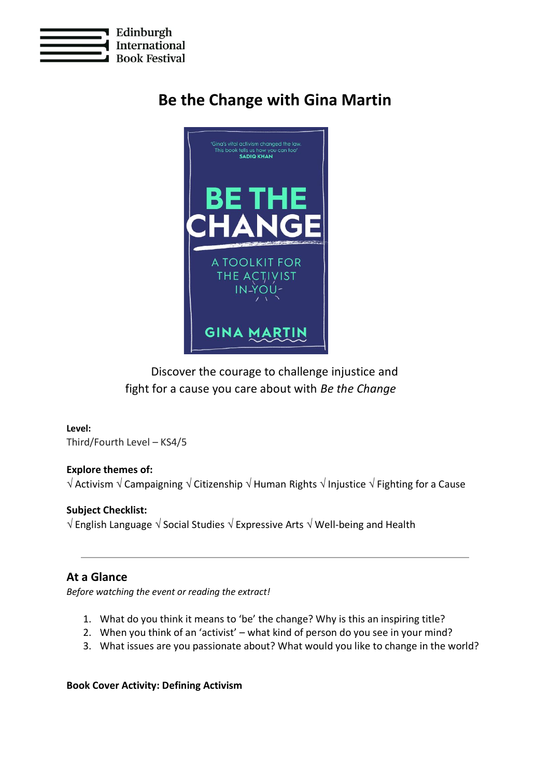

# **Be the Change with Gina Martin**



# Discover the courage to challenge injustice and fight for a cause you care about with *Be the Change*

# **Level:**

Third/Fourth Level – KS4/5

### **Explore themes of:**

 $\sqrt{\sqrt{2}}$  Activism  $\sqrt{\sqrt{2}}$  Campaigning  $\sqrt{\sqrt{2}}$  Citizenship  $\sqrt{\sqrt{2}}$  Human Rights  $\sqrt{\sqrt{2}}$  Injustice  $\sqrt{\sqrt{2}}$  Fighting for a Cause

### **Subject Checklist:**

 $\sqrt{\frac{1}{2}}$  English Language  $\sqrt{\frac{1}{2}}$  Social Studies  $\sqrt{\frac{1}{2}}$  Expressive Arts  $\sqrt{\frac{1}{2}}$  Well-being and Health

# **At a Glance**

*Before watching the event or reading the extract!*

- 1. What do you think it means to 'be' the change? Why is this an inspiring title?
- 2. When you think of an 'activist' what kind of person do you see in your mind?
- 3. What issues are you passionate about? What would you like to change in the world?

#### **Book Cover Activity: Defining Activism**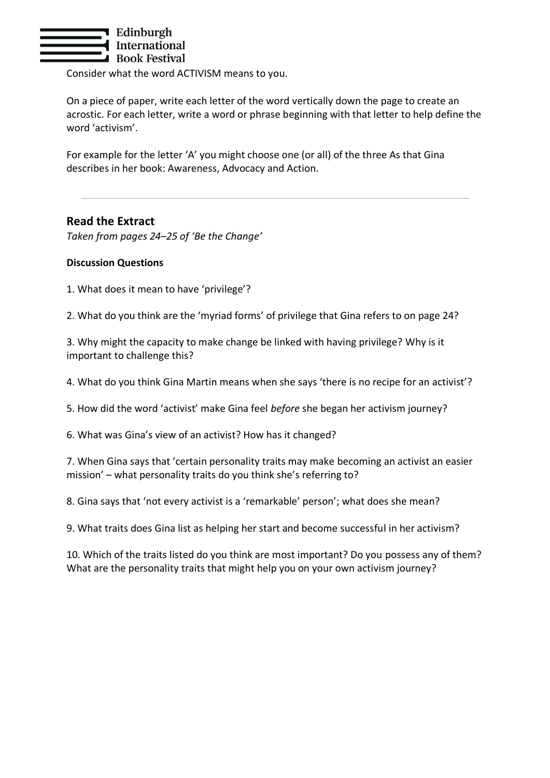

Consider what the word ACTIVISM means to you.

On a piece of paper, write each letter of the word vertically down the page to create an acrostic. For each letter, write a word or phrase beginning with that letter to help define the word 'activism'.

For example for the letter 'A' you might choose one (or all) of the three As that Gina describes in her book: Awareness, Advocacy and Action.

# **Read the Extract**

*Taken from pages 24–25 of 'Be the Change'*

#### **Discussion Questions**

1. What does it mean to have 'privilege'?

2. What do you think are the 'myriad forms' of privilege that Gina refers to on page 24?

3. Why might the capacity to make change be linked with having privilege? Why is it important to challenge this?

4. What do you think Gina Martin means when she says 'there is no recipe for an activist'?

5. How did the word 'activist' make Gina feel *before* she began her activism journey?

6. What was Gina's view of an activist? How has it changed?

7. When Gina says that 'certain personality traits may make becoming an activist an easier mission' – what personality traits do you think she's referring to?

8. Gina says that 'not every activist is a 'remarkable' person'; what does she mean?

9. What traits does Gina list as helping her start and become successful in her activism?

10. Which of the traits listed do you think are most important? Do you possess any of them? What are the personality traits that might help you on your own activism journey?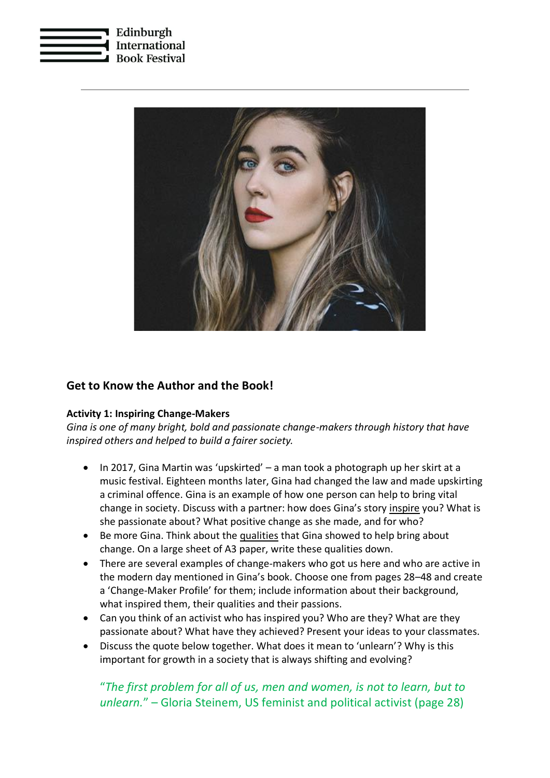



# **Get to Know the Author and the Book!**

#### **Activity 1: Inspiring Change-Makers**

*Gina is one of many bright, bold and passionate change-makers through history that have inspired others and helped to build a fairer society.* 

- In 2017, Gina Martin was 'upskirted' a man took a photograph up her skirt at a music festival. Eighteen months later, Gina had changed the law and made upskirting a criminal offence. Gina is an example of how one person can help to bring vital change in society. Discuss with a partner: how does Gina's story inspire you? What is she passionate about? What positive change as she made, and for who?
- Be more Gina. Think about the qualities that Gina showed to help bring about change. On a large sheet of A3 paper, write these qualities down.
- There are several examples of change-makers who got us here and who are active in the modern day mentioned in Gina's book. Choose one from pages 28–48 and create a 'Change-Maker Profile' for them; include information about their background, what inspired them, their qualities and their passions.
- Can you think of an activist who has inspired you? Who are they? What are they passionate about? What have they achieved? Present your ideas to your classmates.
- Discuss the quote below together. What does it mean to 'unlearn'? Why is this important for growth in a society that is always shifting and evolving?

# "*The first problem for all of us, men and women, is not to learn, but to unlearn.*" – Gloria Steinem, US feminist and political activist (page 28)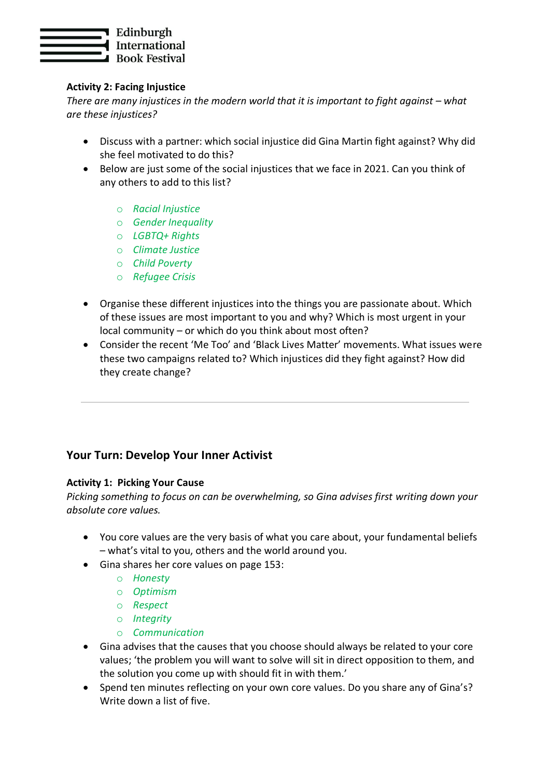

## **Activity 2: Facing Injustice**

*There are many injustices in the modern world that it is important to fight against – what are these injustices?*

- Discuss with a partner: which social injustice did Gina Martin fight against? Why did she feel motivated to do this?
- Below are just some of the social injustices that we face in 2021. Can you think of any others to add to this list?
	- o *Racial Injustice*
	- o *Gender Inequality*
	- o *LGBTQ+ Rights*
	- o *Climate Justice*
	- o *Child Poverty*
	- o *Refugee Crisis*
- Organise these different injustices into the things you are passionate about. Which of these issues are most important to you and why? Which is most urgent in your local community – or which do you think about most often?
- Consider the recent 'Me Too' and 'Black Lives Matter' movements. What issues were these two campaigns related to? Which injustices did they fight against? How did they create change?

# **Your Turn: Develop Your Inner Activist**

### **Activity 1: Picking Your Cause**

*Picking something to focus on can be overwhelming, so Gina advises first writing down your absolute core values.*

- You core values are the very basis of what you care about, your fundamental beliefs – what's vital to you, others and the world around you.
- Gina shares her core values on page 153:
	- o *Honesty*
	- o *Optimism*
	- o *Respect*
	- o *Integrity*
	- o *Communication*
- Gina advises that the causes that you choose should always be related to your core values; 'the problem you will want to solve will sit in direct opposition to them, and the solution you come up with should fit in with them.'
- Spend ten minutes reflecting on your own core values. Do you share any of Gina's? Write down a list of five.